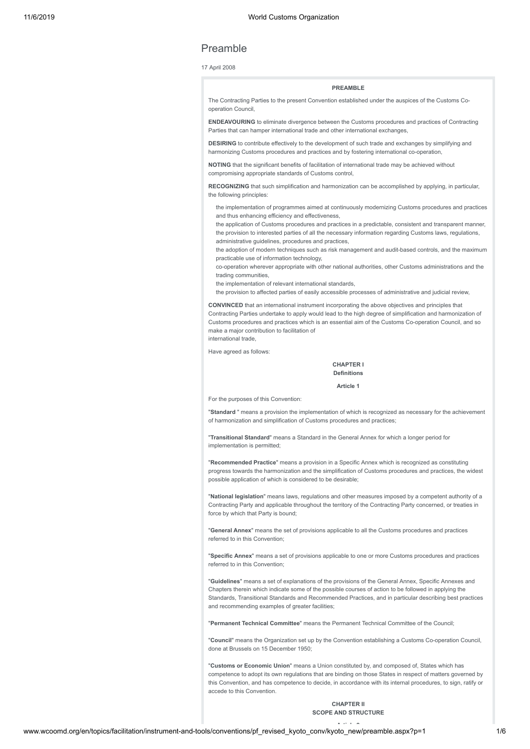# Preamble

# 17 April 2008

# **PREAMBLE**

The Contracting Parties to the present Convention established under the auspices of the Customs Cooperation Council,

**ENDEAVOURING** to eliminate divergence between the Customs procedures and practices of Contracting Parties that can hamper international trade and other international exchanges,

**DESIRING** to contribute effectively to the development of such trade and exchanges by simplifying and harmonizing Customs procedures and practices and by fostering international co-operation,

**NOTING** that the significant benefits of facilitation of international trade may be achieved without compromising appropriate standards of Customs control,

**RECOGNIZING** that such simplification and harmonization can be accomplished by applying, in particular the following principles:

the implementation of programmes aimed at continuously modernizing Customs procedures and practices and thus enhancing efficiency and effectiveness,

the application of Customs procedures and practices in a predictable, consistent and transparent manner, the provision to interested parties of all the necessary information regarding Customs laws, regulations, administrative guidelines, procedures and practices,

the adoption of modern techniques such as risk management and audit-based controls, and the maximum practicable use of information technology,

co-operation wherever appropriate with other national authorities, other Customs administrations and the trading communities,

the implementation of relevant international standards,

the provision to affected parties of easily accessible processes of administrative and judicial review,

**CONVINCED** that an international instrument incorporating the above objectives and principles that Contracting Parties undertake to apply would lead to the high degree of simplification and harmonization of Customs procedures and practices which is an essential aim of the Customs Co-operation Council, and so make a major contribution to facilitation of international trade,

Have agreed as follows:

## **CHAPTER I Definitions**

**Article 1**

For the purposes of this Convention:

"**Standard** " means a provision the implementation of which is recognized as necessary for the achievement of harmonization and simplification of Customs procedures and practices;

"**Transitional Standard**" means a Standard in the General Annex for which a longer period for implementation is permitted;

"**Recommended Practice**" means a provision in a Specific Annex which is recognized as constituting progress towards the harmonization and the simplification of Customs procedures and practices, the widest possible application of which is considered to be desirable;

"**National legislation**" means laws, regulations and other measures imposed by a competent authority of a Contracting Party and applicable throughout the territory of the Contracting Party concerned, or treaties in force by which that Party is bound;

"**General Annex**" means the set of provisions applicable to all the Customs procedures and practices referred to in this Convention;

"**Specific Annex**" means a set of provisions applicable to one or more Customs procedures and practices referred to in this Convention;

"**Guidelines**" means a set of explanations of the provisions of the General Annex, Specific Annexes and Chapters therein which indicate some of the possible courses of action to be followed in applying the Standards, Transitional Standards and Recommended Practices, and in particular describing best practices and recommending examples of greater facilities;

"**Permanent Technical Committee**" means the Permanent Technical Committee of the Council;

"**Council**" means the Organization set up by the Convention establishing a Customs Co-operation Council, done at Brussels on 15 December 1950;

"**Customs or Economic Union**" means a Union constituted by, and composed of, States which has competence to adopt its own regulations that are binding on those States in respect of matters governed by this Convention, and has competence to decide, in accordance with its internal procedures, to sign, ratify or accede to this Convention.

> **CHAPTER II SCOPE AND STRUCTURE**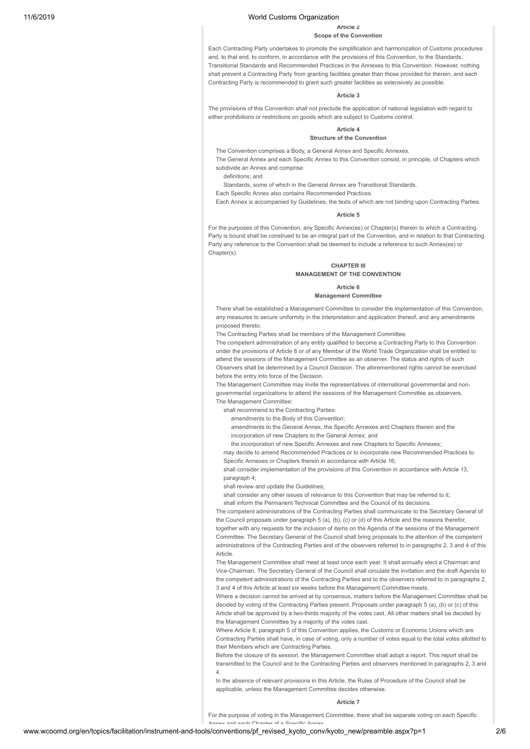# **Article 2**

# **Scope of the Convention**

Each Contracting Party undertakes to promote the simplification and harmonization of Customs procedures and, to that end, to conform, in accordance with the provisions of this Convention, to the Standards, Transitional Standards and Recommended Practices in the Annexes to this Convention. However, nothing shall prevent a Contracting Party from granting facilities greater than those provided for therein, and each Contracting Party is recommended to grant such greater facilities as extensively as possible.

# **Article 3**

The provisions of this Convention shall not preclude the application of national legislation with regard to either prohibitions or restrictions on goods which are subject to Customs control.

# **Article 4**

# **Structure of the Convention**

The Convention comprises a Body, a General Annex and Specific Annexes.

The General Annex and each Specific Annex to this Convention consist, in principle, of Chapters which subdivide an Annex and comprise:

definitions; and

Standards, some of which in the General Annex are Transitional Standards.

Each Specific Annex also contains Recommended Practices.

Each Annex is accompanied by Guidelines, the texts of which are not binding upon Contracting Parties.

# **Article 5**

For the purposes of this Convention, any Specific Annex(es) or Chapter(s) therein to which a Contracting Party is bound shall be construed to be an integral part of the Convention, and in relation to that Contracting Party any reference to the Convention shall be deemed to include a reference to such Annex(es) or Chapter(s).

# **CHAPTER III MANAGEMENT OF THE CONVENTION**

# **Article 6**

**Management Committee**

There shall be established a Management Committee to consider the implementation of this Convention, any measures to secure uniformity in the interpretation and application thereof, and any amendments proposed thereto.

The Contracting Parties shall be members of the Management Committee.

The competent administration of any entity qualified to become a Contracting Party to this Convention under the provisions of Article 8 or of any Member of the World Trade Organization shall be entitled to attend the sessions of the Management Committee as an observer. The status and rights of such Observers shall be determined by a Council Decision. The aforementioned rights cannot be exercised before the entry into force of the Decision.

The Management Committee may invite the representatives of international governmental and nongovernmental organizations to attend the sessions of the Management Committee as observers. The Management Committee:

shall recommend to the Contracting Parties:

amendments to the Body of this Convention;

amendments to the General Annex, the Specific Annexes and Chapters therein and the incorporation of new Chapters to the General Annex; and

the incorporation of new Specific Annexes and new Chapters to Specific Annexes;

may decide to amend Recommended Practices or to incorporate new Recommended Practices to Specific Annexes or Chapters therein in accordance with Article 16;

shall consider implementation of the provisions of this Convention in accordance with Article 13, paragraph 4;

shall review and update the Guidelines;

shall consider any other issues of relevance to this Convention that may be referred to it;

shall inform the Permanent Technical Committee and the Council of its decisions.

The competent administrations of the Contracting Parties shall communicate to the Secretary General of the Council proposals under paragraph 5 (a), (b), (c) or (d) of this Article and the reasons therefor, together with any requests for the inclusion of items on the Agenda of the sessions of the Management Committee. The Secretary General of the Council shall bring proposals to the attention of the competent administrations of the Contracting Parties and of the observers referred to in paragraphs 2, 3 and 4 of this **Article** 

The Management Committee shall meet at least once each year. It shall annually elect a Chairman and Vice-Chairman. The Secretary General of the Council shall circulate the invitation and the draft Agenda to the competent administrations of the Contracting Parties and to the observers referred to in paragraphs 2, 3 and 4 of this Article at least six weeks before the Management Committee meets.

Where a decision cannot be arrived at by consensus, matters before the Management Committee shall be decided by voting of the Contracting Parties present. Proposals under paragraph 5 (a), (b) or (c) of this Article shall be approved by a two-thirds majority of the votes cast. All other matters shall be decided by the Management Committee by a majority of the votes cast.

Where Article 8, paragraph 5 of this Convention applies, the Customs or Economic Unions which are Contracting Parties shall have, in case of voting, only a number of votes equal to the total votes allotted to their Members which are Contracting Parties.

Before the closure of its session, the Management Committee shall adopt a report. This report shall be transmitted to the Council and to the Contracting Parties and observers mentioned in paragraphs 2, 3 and 4.

In the absence of relevant provisions in this Article, the Rules of Procedure of the Council shall be applicable, unless the Management Committee decides otherwise.

#### **Article 7**

For the purpose of voting in the Management Committee, there shall be separate voting on each Specific

Annex and each Chanter of a Specific Anne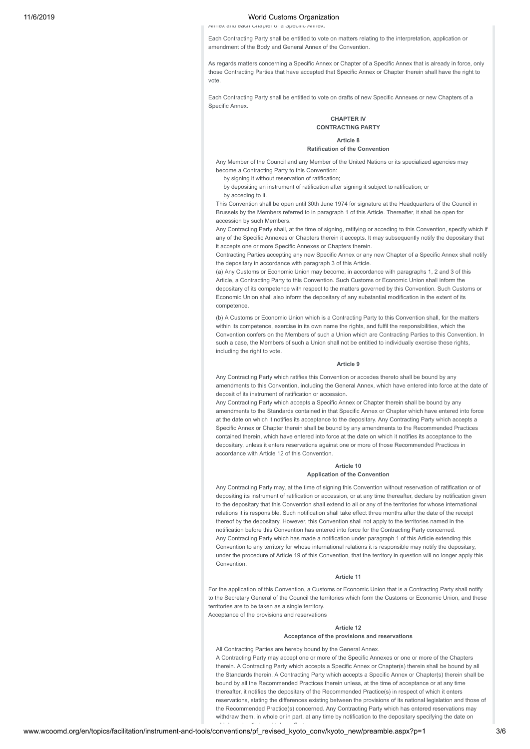Annex and each Chapter of a Specific Annex.

Each Contracting Party shall be entitled to vote on matters relating to the interpretation, application or amendment of the Body and General Annex of the Convention.

As regards matters concerning a Specific Annex or Chapter of a Specific Annex that is already in force, only those Contracting Parties that have accepted that Specific Annex or Chapter therein shall have the right to vote.

Each Contracting Party shall be entitled to vote on drafts of new Specific Annexes or new Chapters of a Specific Annex.

# **CHAPTER IV CONTRACTING PARTY**

**Article 8 Ratification of the Convention**

Any Member of the Council and any Member of the United Nations or its specialized agencies may become a Contracting Party to this Convention:

by signing it without reservation of ratification;

by depositing an instrument of ratification after signing it subject to ratification; or

by acceding to it.

This Convention shall be open until 30th June 1974 for signature at the Headquarters of the Council in Brussels by the Members referred to in paragraph 1 of this Article. Thereafter, it shall be open for accession by such Members.

Any Contracting Party shall, at the time of signing, ratifying or acceding to this Convention, specify which if any of the Specific Annexes or Chapters therein it accepts. It may subsequently notify the depositary that it accepts one or more Specific Annexes or Chapters therein.

Contracting Parties accepting any new Specific Annex or any new Chapter of a Specific Annex shall notify the depositary in accordance with paragraph 3 of this Article.

(a) Any Customs or Economic Union may become, in accordance with paragraphs 1, 2 and 3 of this Article, a Contracting Party to this Convention. Such Customs or Economic Union shall inform the depositary of its competence with respect to the matters governed by this Convention. Such Customs or Economic Union shall also inform the depositary of any substantial modification in the extent of its competence.

(b) A Customs or Economic Union which is a Contracting Party to this Convention shall, for the matters within its competence, exercise in its own name the rights, and fulfil the responsibilities, which the Convention confers on the Members of such a Union which are Contracting Parties to this Convention. In such a case, the Members of such a Union shall not be entitled to individually exercise these rights including the right to vote.

## **Article 9**

Any Contracting Party which ratifies this Convention or accedes thereto shall be bound by any amendments to this Convention, including the General Annex, which have entered into force at the date of deposit of its instrument of ratification or accession.

Any Contracting Party which accepts a Specific Annex or Chapter therein shall be bound by any amendments to the Standards contained in that Specific Annex or Chapter which have entered into force at the date on which it notifies its acceptance to the depositary. Any Contracting Party which accepts a Specific Annex or Chapter therein shall be bound by any amendments to the Recommended Practices contained therein, which have entered into force at the date on which it notifies its acceptance to the depositary, unless it enters reservations against one or more of those Recommended Practices in accordance with Article 12 of this Convention.

# **Article 10 Application of the Convention**

Any Contracting Party may, at the time of signing this Convention without reservation of ratification or of depositing its instrument of ratification or accession, or at any time thereafter, declare by notification given to the depositary that this Convention shall extend to all or any of the territories for whose international relations it is responsible. Such notification shall take effect three months after the date of the receipt thereof by the depositary. However, this Convention shall not apply to the territories named in the notification before this Convention has entered into force for the Contracting Party concerned. Any Contracting Party which has made a notification under paragraph 1 of this Article extending this Convention to any territory for whose international relations it is responsible may notify the depositary, under the procedure of Article 19 of this Convention, that the territory in question will no longer apply this Convention.

# **Article 11**

For the application of this Convention, a Customs or Economic Union that is a Contracting Party shall notify to the Secretary General of the Council the territories which form the Customs or Economic Union, and these territories are to be taken as a single territory. Acceptance of the provisions and reservations

> **Article 12 Acceptance of the provisions and reservations**

All Contracting Parties are hereby bound by the General Annex. A Contracting Party may accept one or more of the Specific Annexes or one or more of the Chapters therein. A Contracting Party which accepts a Specific Annex or Chapter(s) therein shall be bound by all the Standards therein. A Contracting Party which accepts a Specific Annex or Chapter(s) therein shall be bound by all the Recommended Practices therein unless, at the time of acceptance or at any time thereafter, it notifies the depositary of the Recommended Practice(s) in respect of which it enters reservations, stating the differences existing between the provisions of its national legislation and those of the Recommended Practice(s) concerned. Any Contracting Party which has entered reservations may withdraw them, in whole or in part, at any time by notification to the depositary specifying the date on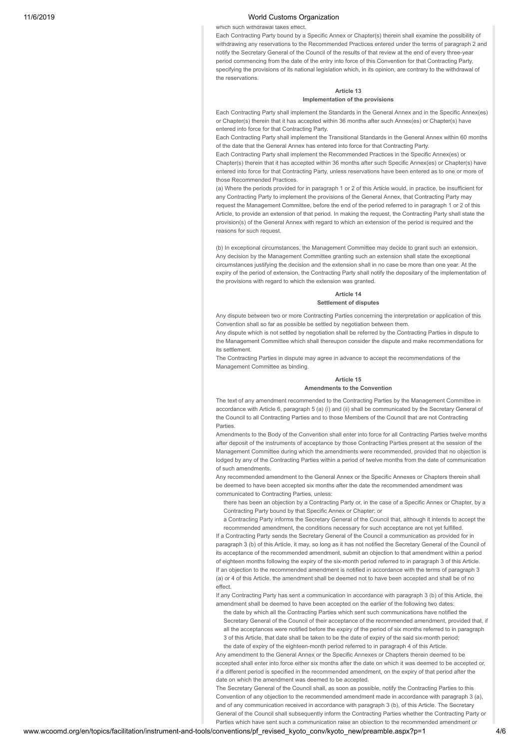#### which such withdrawal takes effect.

Each Contracting Party bound by a Specific Annex or Chapter(s) therein shall examine the possibility of withdrawing any reservations to the Recommended Practices entered under the terms of paragraph 2 and notify the Secretary General of the Council of the results of that review at the end of every three-year period commencing from the date of the entry into force of this Convention for that Contracting Party, specifying the provisions of its national legislation which, in its opinion, are contrary to the withdrawal of the reservations.

# **Article 13**

# **Implementation of the provisions**

Each Contracting Party shall implement the Standards in the General Annex and in the Specific Annex(es) or Chapter(s) therein that it has accepted within 36 months after such Annex(es) or Chapter(s) have entered into force for that Contracting Party.

Each Contracting Party shall implement the Transitional Standards in the General Annex within 60 months of the date that the General Annex has entered into force for that Contracting Party.

Each Contracting Party shall implement the Recommended Practices in the Specific Annex(es) or Chapter(s) therein that it has accepted within 36 months after such Specific Annex(es) or Chapter(s) have entered into force for that Contracting Party, unless reservations have been entered as to one or more of those Recommended Practices.

(a) Where the periods provided for in paragraph 1 or 2 of this Article would, in practice, be insufficient for any Contracting Party to implement the provisions of the General Annex, that Contracting Party may request the Management Committee, before the end of the period referred to in paragraph 1 or 2 of this Article, to provide an extension of that period. In making the request, the Contracting Party shall state the provision(s) of the General Annex with regard to which an extension of the period is required and the reasons for such request.

(b) In exceptional circumstances, the Management Committee may decide to grant such an extension. Any decision by the Management Committee granting such an extension shall state the exceptional circumstances justifying the decision and the extension shall in no case be more than one year. At the expiry of the period of extension, the Contracting Party shall notify the depositary of the implementation of the provisions with regard to which the extension was granted.

#### **Article 14 Settlement of disputes**

Any dispute between two or more Contracting Parties concerning the interpretation or application of this Convention shall so far as possible be settled by negotiation between them.

Any dispute which is not settled by negotiation shall be referred by the Contracting Parties in dispute to the Management Committee which shall thereupon consider the dispute and make recommendations for its settlement.

The Contracting Parties in dispute may agree in advance to accept the recommendations of the Management Committee as binding.

## **Article 15 Amendments to the Convention**

The text of any amendment recommended to the Contracting Parties by the Management Committee in accordance with Article 6, paragraph 5 (a) (i) and (ii) shall be communicated by the Secretary General of the Council to all Contracting Parties and to those Members of the Council that are not Contracting Parties.

Amendments to the Body of the Convention shall enter into force for all Contracting Parties twelve months after deposit of the instruments of acceptance by those Contracting Parties present at the session of the Management Committee during which the amendments were recommended, provided that no objection is lodged by any of the Contracting Parties within a period of twelve months from the date of communication of such amendments.

Any recommended amendment to the General Annex or the Specific Annexes or Chapters therein shall be deemed to have been accepted six months after the date the recommended amendment was communicated to Contracting Parties, unless:

there has been an objection by a Contracting Party or, in the case of a Specific Annex or Chapter, by a Contracting Party bound by that Specific Annex or Chapter; or

a Contracting Party informs the Secretary General of the Council that, although it intends to accept the recommended amendment, the conditions necessary for such acceptance are not yet fulfilled.

If a Contracting Party sends the Secretary General of the Council a communication as provided for in paragraph 3 (b) of this Article, it may, so long as it has not notified the Secretary General of the Council of its acceptance of the recommended amendment, submit an objection to that amendment within a period of eighteen months following the expiry of the six-month period referred to in paragraph 3 of this Article. If an objection to the recommended amendment is notified in accordance with the terms of paragraph 3 (a) or 4 of this Article, the amendment shall be deemed not to have been accepted and shall be of no effect.

If any Contracting Party has sent a communication in accordance with paragraph 3 (b) of this Article, the amendment shall be deemed to have been accepted on the earlier of the following two dates:

the date by which all the Contracting Parties which sent such communications have notified the Secretary General of the Council of their acceptance of the recommended amendment, provided that, if all the acceptances were notified before the expiry of the period of six months referred to in paragraph 3 of this Article, that date shall be taken to be the date of expiry of the said six-month period; the date of expiry of the eighteen-month period referred to in paragraph 4 of this Article.

Any amendment to the General Annex or the Specific Annexes or Chapters therein deemed to be accepted shall enter into force either six months after the date on which it was deemed to be accepted or, if a different period is specified in the recommended amendment, on the expiry of that period after the date on which the amendment was deemed to be accepted.

The Secretary General of the Council shall, as soon as possible, notify the Contracting Parties to this Convention of any objection to the recommended amendment made in accordance with paragraph 3 (a), and of any communication received in accordance with paragraph 3 (b), of this Article. The Secretary General of the Council shall subsequently inform the Contracting Parties whether the Contracting Party or Parties which have sent such a communication raise an objection to the recommended amendment or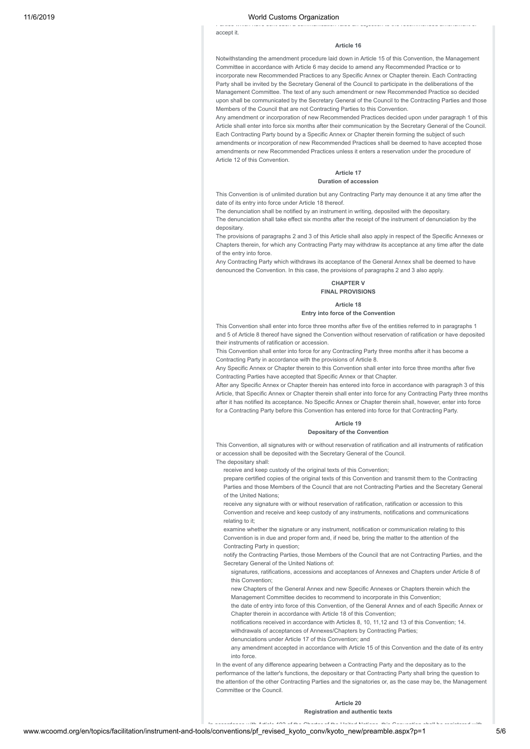accept it.

#### **Article 16**

Parties which have sent such a communication raise an objection to the recommended amendment or

Notwithstanding the amendment procedure laid down in Article 15 of this Convention, the Management Committee in accordance with Article 6 may decide to amend any Recommended Practice or to incorporate new Recommended Practices to any Specific Annex or Chapter therein. Each Contracting Party shall be invited by the Secretary General of the Council to participate in the deliberations of the Management Committee. The text of any such amendment or new Recommended Practice so decided upon shall be communicated by the Secretary General of the Council to the Contracting Parties and those Members of the Council that are not Contracting Parties to this Convention.

Any amendment or incorporation of new Recommended Practices decided upon under paragraph 1 of this Article shall enter into force six months after their communication by the Secretary General of the Council. Each Contracting Party bound by a Specific Annex or Chapter therein forming the subject of such amendments or incorporation of new Recommended Practices shall be deemed to have accepted those amendments or new Recommended Practices unless it enters a reservation under the procedure of Article 12 of this Convention.

# **Article 17**

# **Duration of accession**

This Convention is of unlimited duration but any Contracting Party may denounce it at any time after the date of its entry into force under Article 18 thereof.

The denunciation shall be notified by an instrument in writing, deposited with the depositary.

The denunciation shall take effect six months after the receipt of the instrument of denunciation by the depositary.

The provisions of paragraphs 2 and 3 of this Article shall also apply in respect of the Specific Annexes or Chapters therein, for which any Contracting Party may withdraw its acceptance at any time after the date of the entry into force.

Any Contracting Party which withdraws its acceptance of the General Annex shall be deemed to have denounced the Convention. In this case, the provisions of paragraphs 2 and 3 also apply.

# **CHAPTER V FINAL PROVISIONS**

#### **Article 18**

#### **Entry into force of the Convention**

This Convention shall enter into force three months after five of the entities referred to in paragraphs 1 and 5 of Article 8 thereof have signed the Convention without reservation of ratification or have deposited their instruments of ratification or accession.

This Convention shall enter into force for any Contracting Party three months after it has become a Contracting Party in accordance with the provisions of Article 8.

Any Specific Annex or Chapter therein to this Convention shall enter into force three months after five Contracting Parties have accepted that Specific Annex or that Chapter.

After any Specific Annex or Chapter therein has entered into force in accordance with paragraph 3 of this Article, that Specific Annex or Chapter therein shall enter into force for any Contracting Party three months after it has notified its acceptance. No Specific Annex or Chapter therein shall, however, enter into force for a Contracting Party before this Convention has entered into force for that Contracting Party.

## **Article 19**

# **Depositary of the Convention**

This Convention, all signatures with or without reservation of ratification and all instruments of ratification or accession shall be deposited with the Secretary General of the Council. The depositary shall:

receive and keep custody of the original texts of this Convention;

prepare certified copies of the original texts of this Convention and transmit them to the Contracting Parties and those Members of the Council that are not Contracting Parties and the Secretary General of the United Nations;

receive any signature with or without reservation of ratification, ratification or accession to this Convention and receive and keep custody of any instruments, notifications and communications relating to it:

examine whether the signature or any instrument, notification or communication relating to this Convention is in due and proper form and, if need be, bring the matter to the attention of the Contracting Party in question;

notify the Contracting Parties, those Members of the Council that are not Contracting Parties, and the Secretary General of the United Nations of:

signatures, ratifications, accessions and acceptances of Annexes and Chapters under Article 8 of this Convention;

new Chapters of the General Annex and new Specific Annexes or Chapters therein which the

Management Committee decides to recommend to incorporate in this Convention;

the date of entry into force of this Convention, of the General Annex and of each Specific Annex or Chapter therein in accordance with Article 18 of this Convention;

notifications received in accordance with Articles 8, 10, 11, 12 and 13 of this Convention; 14. withdrawals of acceptances of Annexes/Chapters by Contracting Parties;

denunciations under Article 17 of this Convention; and

any amendment accepted in accordance with Article 15 of this Convention and the date of its entry into force.

In the event of any difference appearing between a Contracting Party and the depositary as to the performance of the latter's functions, the depositary or that Contracting Party shall bring the question to the attention of the other Contracting Parties and the signatories or, as the case may be, the Management Committee or the Council.

## **Article 20**

# **Registration and authentic texts** In accordance with Article 102 of the Charter of the United Nations this Convention shall be registered with

www.wcoomd.org/en/topics/facilitation/instrument-and-tools/conventions/pf\_revised\_kyoto\_conv/kyoto\_new/preamble.aspx?p=1 5/6